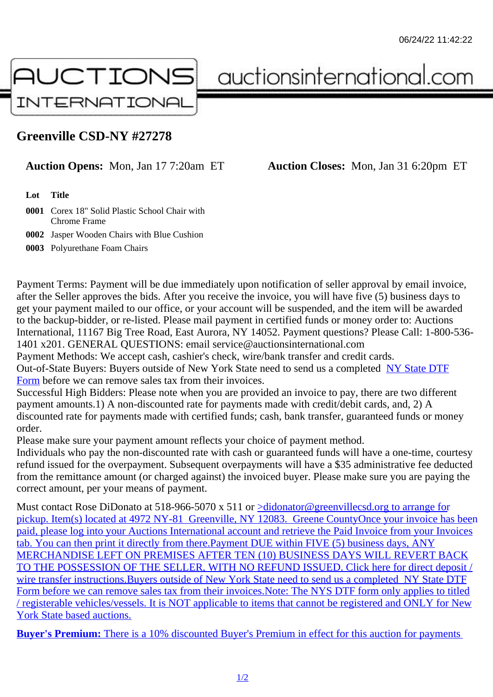## Greenville CSD-NY #27278

Auction Opens: Mon, Jan 17 7:20am ET Auction Closes: Mon, Jan 31 6:20pm ET

Lot Title

0001 Corex 18" Solid Plastic School Chair with Chrome Frame

0002 Jasper Wooden Chairs with Blue Cushion

0003 Polyurethane Foam Chairs

Payment Terms: Payment will be due immediately upon notification of seller approval by email invoice, after the Seller approves the bids. After you receive the invoice, you will have five (5) business days to get your payment mailed to our office, or your account will be suspended, and the item will be awarded to the backup-bidder, or re-listed. Please mail payment in certified funds or money order to: Auctions International, 11167 Big Tree Road, East Aurora, NY 14052. Payment questions? Please Call: 1-800-53 1401 x201. GENERAL QUESTIONS: email service@auctionsinternational.com

Payment Methods: We accept cash, cashier's check, wire/bank transfer and credit cards.

Out-of-State Buyers: Buyers outside of New York State need to send us a com blestate DTF

Form before we can remove sales tax from their invoices.

Successful High Bidders: Please note when you are provided an invoice to pay, there are two different payment amounts.1) A non-discounted rate for payments made with credit/de[bit cards, and](https://www.auctionsinternational.com/auxiliary/downloads/DTF_Form/dtf_fill_in.pdf), 2) A [disco](https://www.auctionsinternational.com/auxiliary/downloads/DTF_Form/dtf_fill_in.pdf)unted rate for payments made with certified funds; cash, bank transfer, quaranteed funds or mone order.

Please make sure your payment amount reflects your choice of payment method.

Individuals who pay the non-discounted rate with cash or guaranteed funds will have a one-time, courte refund issued for the overpayment. Subsequent overpayments will have a \$35 administrative fee deduc from the remittance amount (or charged against) the invoiced buyer. Please make sure you are paying correct amount, per your means of payment.

Must contact Rose DiDonato at 518-966-5070 x 514 didnonator@greenvillecsd.org to arrange for pickup. Item(s) located at 4972 NY-81 Greenville, NY 12083. Greene CountyOnce your invoice has be paid, please log into your Auctions International account and retrieve the Paid Invoice from your Invoice tab. You can then print it directly from there. Paym[ent DUE within FIVE \(5\) business days, A](mailto:didonator@greenvillecsd.org</c:alink)NY [MERCHANDISE LEFT ON PREMISES AFTER TEN \(10\) BUSINESS DAYS WILL REVERT BAC](mailto:didonator@greenvillecsd.org</c:alink)K [TO THE POSSESSION OF THE SELLER, WITH NO REFUND ISSUED. Click here for direct de](mailto:didonator@greenvillecsd.org</c:alink)posit / wire transfer instructions. Buyers outside of New York State need to send us a comblestate DTF Form before we can remove sales tax from their invoices. Note: The NYS DTF form only applies to titled [/ registerable vehicles/vessels. It is NOT applicable to items that cannot be registered and ONLY](mailto:didonator@greenvillecsd.org</c:alink) for New [York State based auctions.](mailto:didonator@greenvillecsd.org</c:alink)

[Buy](https://www.auctionsinternational.com/auxiliary/downloads/DTF_Form/dtf_fill_in.pdf)[er's Premium: There is a 10% discounted Buyer's Premium in effect for this auction for paym](mailto:didonator@greenvillecsd.org</c:alink)ents